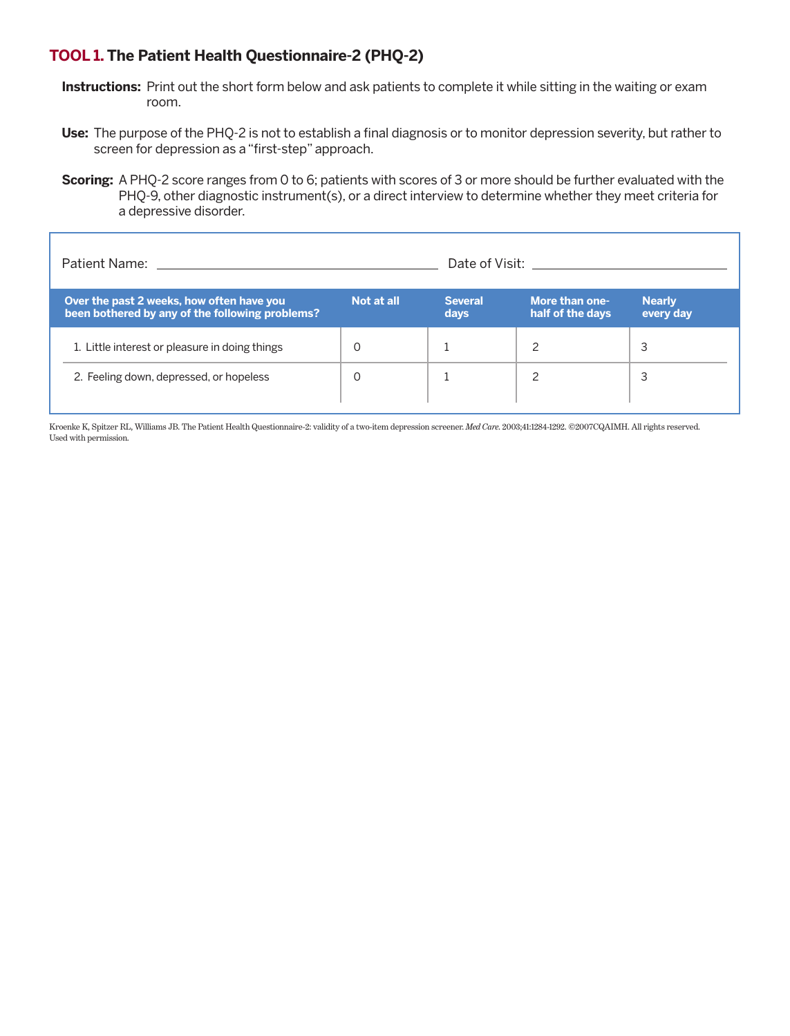## **TOOL 1. The Patient Health Questionnaire-2 (PHQ-2)**

- **Instructions:** Print out the short form below and ask patients to complete it while sitting in the waiting or exam room.
- **Use:** The purpose of the PHQ-2 is not to establish a final diagnosis or to monitor depression severity, but rather to screen for depression as a "first-step" approach.
- **Scoring:** A PHQ-2 score ranges from 0 to 6; patients with scores of 3 or more should be further evaluated with the PHQ-9, other diagnostic instrument(s), or a direct interview to determine whether they meet criteria for a depressive disorder.

| <b>Patient Name:</b>                                                                         | Date of Visit: Date of Visit: |                        |                                    |                            |
|----------------------------------------------------------------------------------------------|-------------------------------|------------------------|------------------------------------|----------------------------|
| Over the past 2 weeks, how often have you<br>been bothered by any of the following problems? | Not at all                    | <b>Several</b><br>days | More than one-<br>half of the days | <b>Nearly</b><br>every day |
| 1. Little interest or pleasure in doing things                                               | $\Omega$                      |                        |                                    | 3                          |
| 2. Feeling down, depressed, or hopeless                                                      | O                             |                        |                                    | 3                          |
|                                                                                              |                               |                        |                                    |                            |

Kroenke K, Spitzer RL, Williams JB. The Patient Health Questionnaire-2: validity of a two-item depression screener. *Med Care*. 2003;41:1284-1292. ©2007CQAIMH. All rights reserved. Used with permission.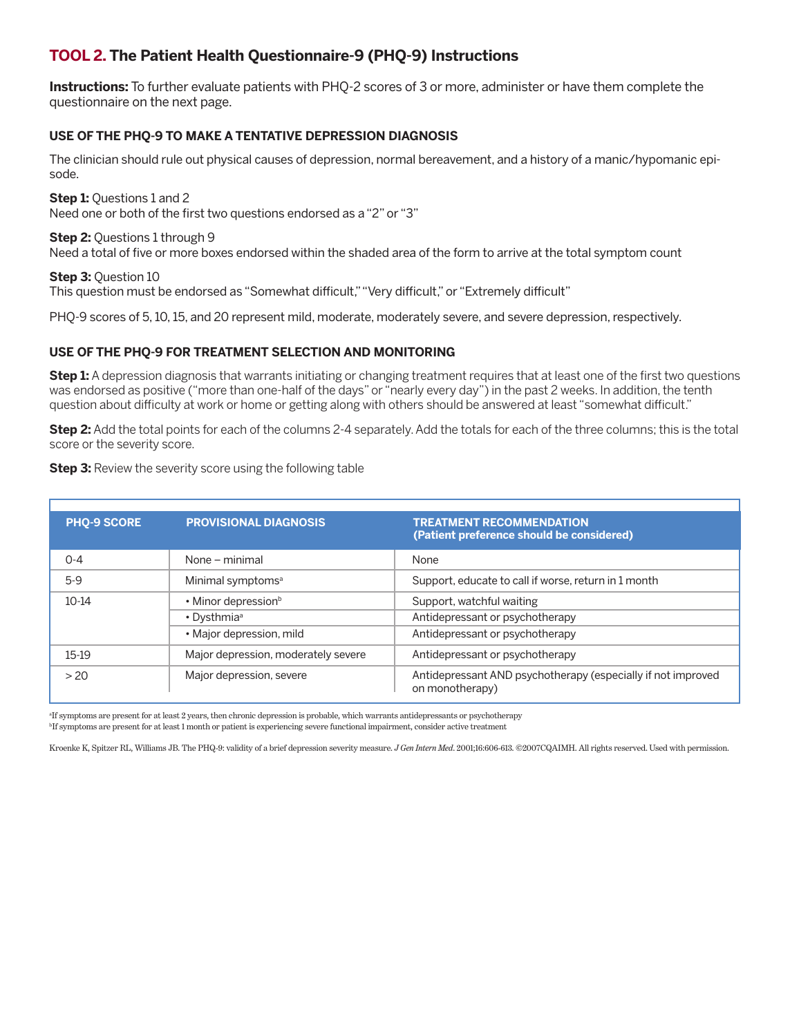## **TOOL 2. The Patient Health Questionnaire-9 (PHQ-9) Instructions**

**Instructions:** To further evaluate patients with PHQ-2 scores of 3 or more, administer or have them complete the questionnaire on the next page.

#### **USE OF THE PHQ-9 TO MAKE A TENTATIVE DEPRESSION DIAGNOSIS**

The clinician should rule out physical causes of depression, normal bereavement, and a history of a manic/hypomanic episode.

**Step 1:** Questions 1 and 2 Need one or both of the first two questions endorsed as a "2" or "3"

**Step 2: Ouestions 1 through 9** 

Need a total of five or more boxes endorsed within the shaded area of the form to arrive at the total symptom count

**Step 3:** Question 10 This question must be endorsed as "Somewhat difficult," "Very difficult," or "Extremely difficult"

PHQ-9 scores of 5, 10, 15, and 20 represent mild, moderate, moderately severe, and severe depression, respectively.

#### **USE OF THE PHQ-9 FOR TREATMENT SELECTION AND MONITORING**

**Step 1:** A depression diagnosis that warrants initiating or changing treatment requires that at least one of the first two questions was endorsed as positive ("more than one-half of the days" or "nearly every day") in the past 2 weeks. In addition, the tenth question about difficulty at work or home or getting along with others should be answered at least "somewhat difficult."

**Step 2:** Add the total points for each of the columns 2-4 separately. Add the totals for each of the three columns; this is the total score or the severity score.

| <b>PHQ-9 SCORE</b> | <b>PROVISIONAL DIAGNOSIS</b>        | <b>TREATMENT RECOMMENDATION</b><br>(Patient preference should be considered)    |
|--------------------|-------------------------------------|---------------------------------------------------------------------------------|
| $O - 4$            | None – minimal                      | None                                                                            |
| $5-9$              | Minimal symptoms <sup>a</sup>       | Support, educate to call if worse, return in 1 month                            |
| $10-14$            | • Minor depression <sup>b</sup>     | Support, watchful waiting                                                       |
|                    | • Dysthmia <sup>a</sup>             | Antidepressant or psychotherapy                                                 |
|                    | • Major depression, mild            | Antidepressant or psychotherapy                                                 |
| 15-19              | Major depression, moderately severe | Antidepressant or psychotherapy                                                 |
| > 20               | Major depression, severe            | Antidepressant AND psychotherapy (especially if not improved<br>on monotherapy) |

**Step 3:** Review the severity score using the following table

a If symptoms are present for at least 2 years, then chronic depression is probable, which warrants antidepressants or psychotherapy b If symptoms are present for at least 1 month or patient is experiencing severe functional impairment, consider active treatment

Kroenke K, Spitzer RL, Williams JB. The PHQ-9: validity of a brief depression severity measure. *J Gen Intern Med*. 2001;16:606-613. ©2007CQAIMH. All rights reserved. Used with permission.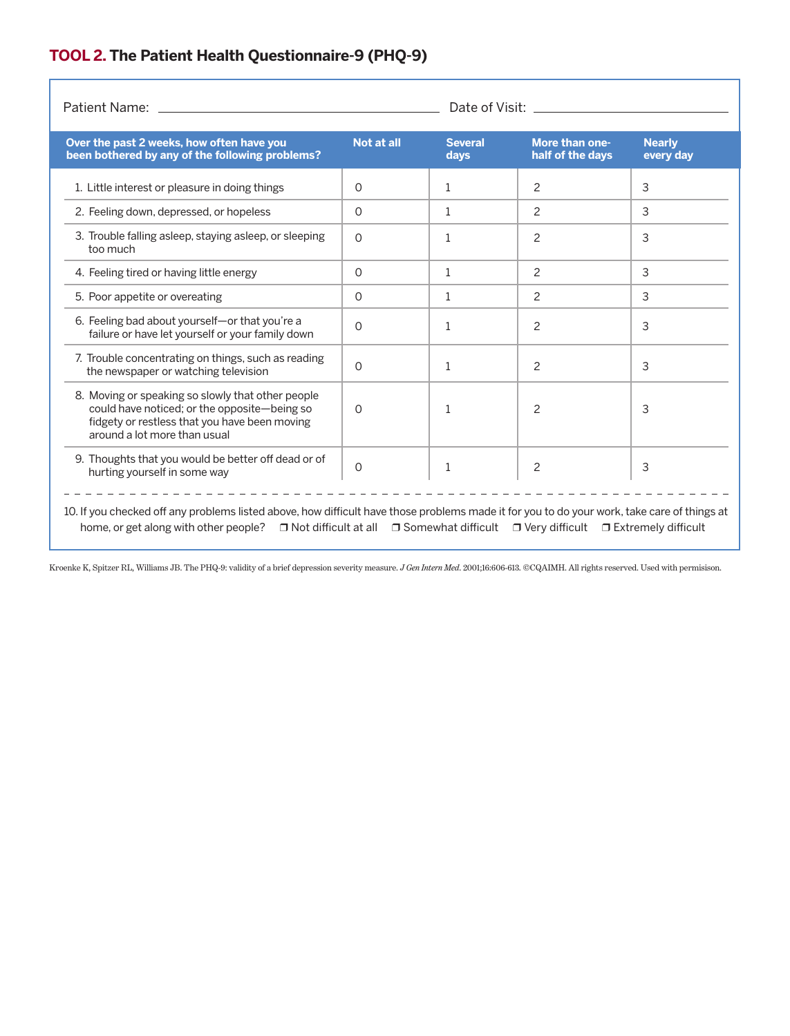# **TOOL 2. The Patient Health Questionnaire-9 (PHQ-9)**

| Over the past 2 weeks, how often have you<br>been bothered by any of the following problems?                                                                                       | Not at all | <b>Several</b><br>days | <b>More than one-</b><br>half of the days | <b>Nearly</b><br>every day |
|------------------------------------------------------------------------------------------------------------------------------------------------------------------------------------|------------|------------------------|-------------------------------------------|----------------------------|
| 1. Little interest or pleasure in doing things                                                                                                                                     | $\Omega$   | $\mathbf{1}$           | 2                                         | 3                          |
| 2. Feeling down, depressed, or hopeless                                                                                                                                            | $\Omega$   | $\mathbf{1}$           | 2                                         | 3                          |
| 3. Trouble falling asleep, staying asleep, or sleeping<br>too much                                                                                                                 | $\Omega$   | 1                      | 2                                         | 3                          |
| 4. Feeling tired or having little energy                                                                                                                                           | $\Omega$   | $\mathbf{1}$           | 2                                         | 3                          |
| 5. Poor appetite or overeating                                                                                                                                                     | 0          | $\mathbf{1}$           | 2                                         | 3                          |
| 6. Feeling bad about yourself-or that you're a<br>failure or have let yourself or your family down                                                                                 | $\Omega$   | 1                      | $\overline{c}$                            | 3                          |
| 7. Trouble concentrating on things, such as reading<br>the newspaper or watching television                                                                                        | 0          | 1                      | 2                                         | 3                          |
| 8. Moving or speaking so slowly that other people<br>could have noticed; or the opposite-being so<br>fidgety or restless that you have been moving<br>around a lot more than usual | $\Omega$   | 1                      | 2                                         | 3                          |
| 9. Thoughts that you would be better off dead or of<br>hurting yourself in some way                                                                                                | $\Omega$   | 1                      | 2                                         | 3                          |

Kroenke K, Spitzer RL, Williams JB. The PHQ-9: validity of a brief depression severity measure. *J Gen Intern Med*. 2001;16:606-613. ©CQAIMH. All rights reserved. Used with permisison.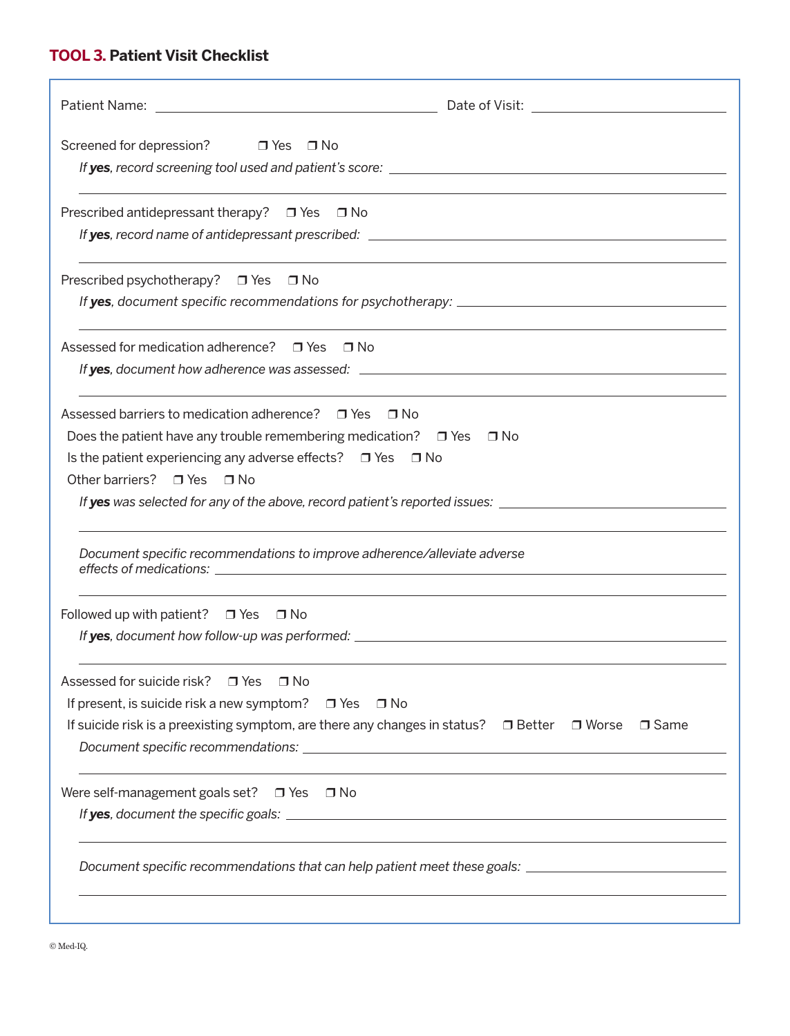# **TOOL 3. Patient Visit Checklist**

| Screened for depression? □ Yes □ No                                                                                                                                                                                                                                |                                                                                                                           |
|--------------------------------------------------------------------------------------------------------------------------------------------------------------------------------------------------------------------------------------------------------------------|---------------------------------------------------------------------------------------------------------------------------|
| Prescribed antidepressant therapy? $\Box$ Yes $\Box$ No                                                                                                                                                                                                            |                                                                                                                           |
| Prescribed psychotherapy? □ Yes □ No                                                                                                                                                                                                                               |                                                                                                                           |
| Assessed for medication adherence? □ Yes □ No                                                                                                                                                                                                                      |                                                                                                                           |
| Assessed barriers to medication adherence? $\Box$ Yes $\Box$ No<br>Does the patient have any trouble remembering medication? $\Box$ Yes $\Box$ No<br>Is the patient experiencing any adverse effects? $\Box$ Yes $\Box$ No<br>Other barriers? $\Box$ Yes $\Box$ No | If yes was selected for any of the above, record patient's reported issues: _________________________________             |
| Document specific recommendations to improve adherence/alleviate adverse                                                                                                                                                                                           |                                                                                                                           |
| Followed up with patient? $\Box$ Yes $\Box$ No                                                                                                                                                                                                                     |                                                                                                                           |
| Assessed for suicide risk? $\Box$ Yes $\Box$ No                                                                                                                                                                                                                    |                                                                                                                           |
| If present, is suicide risk a new symptom? $\Box$ Yes                                                                                                                                                                                                              | ⊟ No<br>If suicide risk is a preexisting symptom, are there any changes in status? $\Box$ Better $\Box$ Worse $\Box$ Same |
| Were self-management goals set? $\Box$ Yes $\Box$ No                                                                                                                                                                                                               |                                                                                                                           |
|                                                                                                                                                                                                                                                                    | Document specific recommendations that can help patient meet these goals: __________________________                      |
|                                                                                                                                                                                                                                                                    |                                                                                                                           |